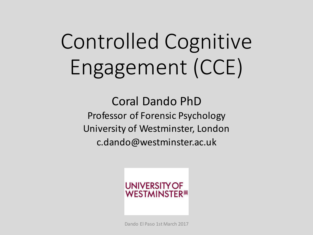# Controlled Cognitive Engagement (CCE)

Coral Dando PhD Professor of Forensic Psychology University of Westminster, London c.dando@westminster.ac.uk



Dando El Paso 1st March 2017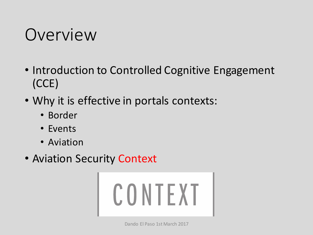### Overview

- Introduction to Controlled Cognitive Engagement (CCE)
- Why it is effective in portals contexts:
	- Border
	- Events
	- Aviation
- Aviation Security Context

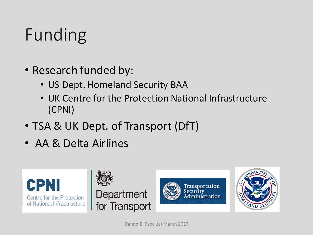# Funding

- Research funded by:
	- US Dept. Homeland Security BAA
	- UK Centre for the Protection National Infrastructure (CPNI)
- TSA & UK Dept. of Transport (DfT)
- AA & Delta Airlines



Dando El Paso 1st March 2017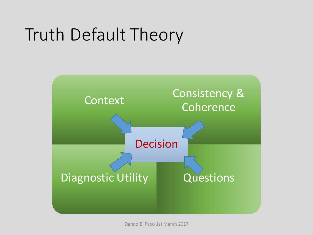# Truth Default Theory



Dando El Paso 1st March 2017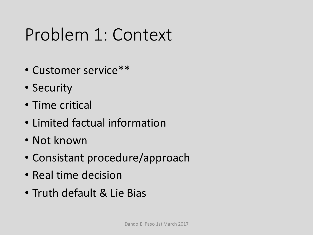### Problem 1: Context

- Customer service\*\*
- Security
- Time critical
- Limited factual information
- Not known
- Consistant procedure/approach
- Real time decision
- Truth default & Lie Bias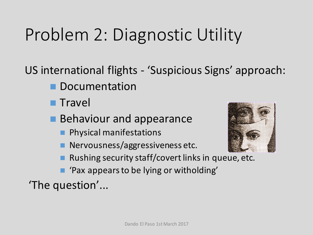# Problem 2: Diagnostic Utility

US international flights - 'Suspicious Signs' approach:

- **n** Documentation
- **n** Travel
- **Behaviour and appearance** 
	- **n** Physical manifestations
	- **n** Nervousness/aggressiveness etc.



- Rushing security staff/covert links in queue, etc.
- 'Pax appears to be lying or witholding'

'The question'...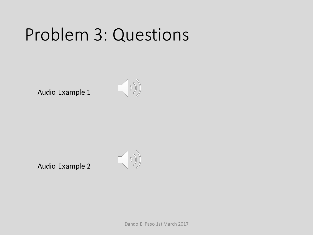### Problem 3: Questions

Audio Example 1



Audio Example 2



Dando El Paso 1st March 2017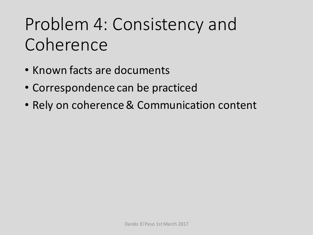### Problem 4: Consistency and **Coherence**

- Known facts are documents
- Correspondence can be practiced
- Rely on coherence & Communication content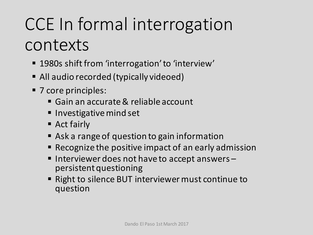# CCE In formal interrogation contexts

- 1980s shift from 'interrogation' to 'interview'
- All audio recorded (typically videoed)
- 7 core principles:
	- Gain an accurate & reliable account
	- Investigative mind set
	- $\blacksquare$  Act fairly
	- Ask a range of question to gain information
	- Recognize the positive impact of an early admission
	- Interviewer does not have to accept answers –<br>persistent questioning
	- Right to silence BUT interviewer must continue to question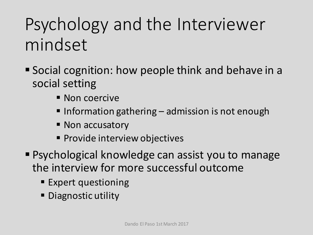# Psychology and the Interviewer mindset

- Social cognition: how people think and behave in a social setting
	- Non coercive
	- $\blacksquare$  Information gathering  $\blacksquare$  admission is not enough
	- Non accusatory
	- **Provide interview objectives**
- Psychological knowledge can assist you to manage the interview for more successful outcome
	- Expert questioning
	- **Diagnostic utility**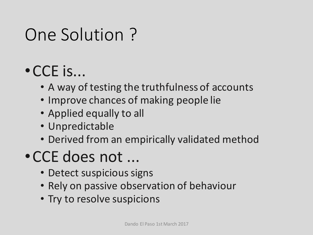### One Solution?

### $\cdot$  CCE is...

- A way of testing the truthfulness of accounts
- Improve chances of making people lie
- Applied equally to all
- Unpredictable
- Derived from an empirically validated method

#### • CCE does not ...

- Detect suspicious signs
- Rely on passive observation of behaviour
- Try to resolve suspicions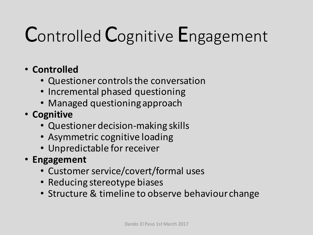# Controlled Cognitive Engagement

#### • **Controlled**

- Questioner controls the conversation
- Incremental phased questioning
- Managed questioning approach
- **Cognitive**
	- Questioner decision-making skills
	- Asymmetric cognitive loading
	- Unpredictable for receiver
- **Engagement**
	- Customer service/covert/formal uses
	- Reducing stereotype biases
	- Structure & timeline to observe behaviour change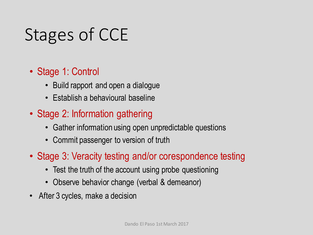# Stages of CCE

- Stage 1: Control
	- Build rapport and open a dialogue
	- Establish a behavioural baseline
- Stage 2: Information gathering
	- Gather information using open unpredictable questions
	- Commit passenger to version of truth
- Stage 3: Veracity testing and/or corespondence testing
	- Test the truth of the account using probe questioning
	- Observe behavior change (verbal & demeanor)
- After 3 cycles, make a decision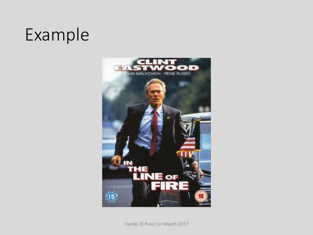### Example

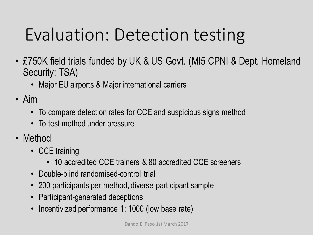# Evaluation: Detection testing

- £750K field trials funded by UK & US Govt. (MI5 CPNI & Dept. Homeland Security: TSA)
	- Major EU airports & Major international carriers
- Aim
	- To compare detection rates for CCE and suspicious signs method
	- To test method under pressure
- Method
	- CCE training
		- 10 accredited CCE trainers & 80 accredited CCE screeners
	- Double-blind randomised-control trial
	- 200 participants per method, diverse participant sample
	- Participant-generated deceptions
	- Incentivized performance 1; 1000 (low base rate)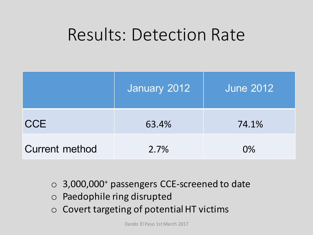### Results: Detection Rate

|                       | January 2012 | <b>June 2012</b> |
|-----------------------|--------------|------------------|
| <b>CCE</b>            | 63.4%        | 74.1%            |
| <b>Current method</b> | 2.7%         | $O\%$            |

- o 3,000,000<sup>+</sup> passengers CCE-screened to date
- o Paedophile ring disrupted
- $\circ$  Covert targeting of potential HT victims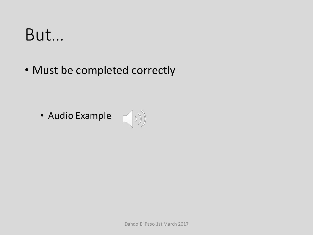### But…

• Must be completed correctly

• Audio Example  $\left(\begin{matrix} \circ & \circ \\ \circ & \circ \end{matrix}\right)$ 

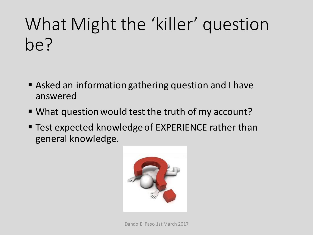# What Might the 'killer' question be?

- Asked an information gathering question and I have answered
- What question would test the truth of my account?
- Test expected knowledge of EXPERIENCE rather than general knowledge.

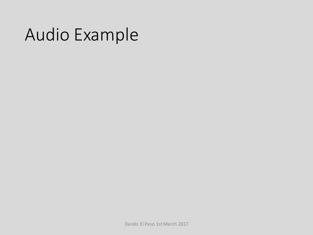### Audio Example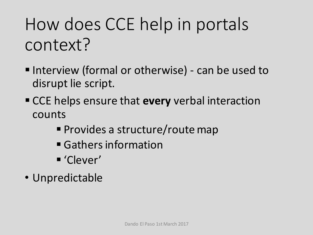# How does CCE help in portals context?

- Interview (formal or otherwise) can be used to disrupt lie script.
- CCE helps ensure that **every** verbal interaction counts
	- Provides a structure/route map
	- Gathers information
	- § 'Clever'
- Unpredictable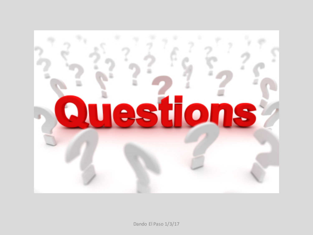